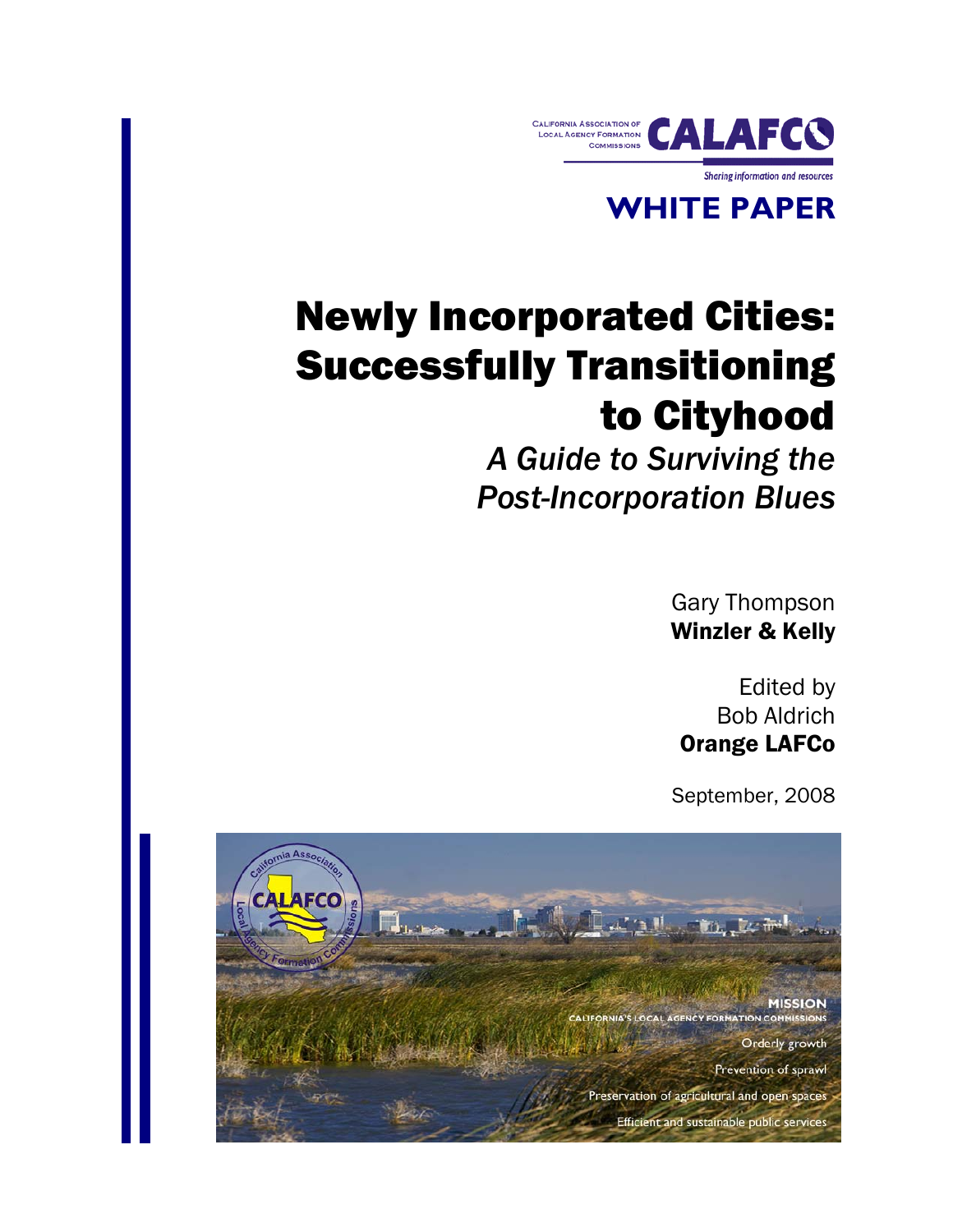

## **WHITE PAPER**

# Newly Incorporated Cities: Successfully Transitioning to Cityhood

*A Guide to Surviving the Post-Incorporation Blues*

> Gary Thompson Winzler & Kelly

Edited by Bob Aldrich Orange LAFCo

September, 2008

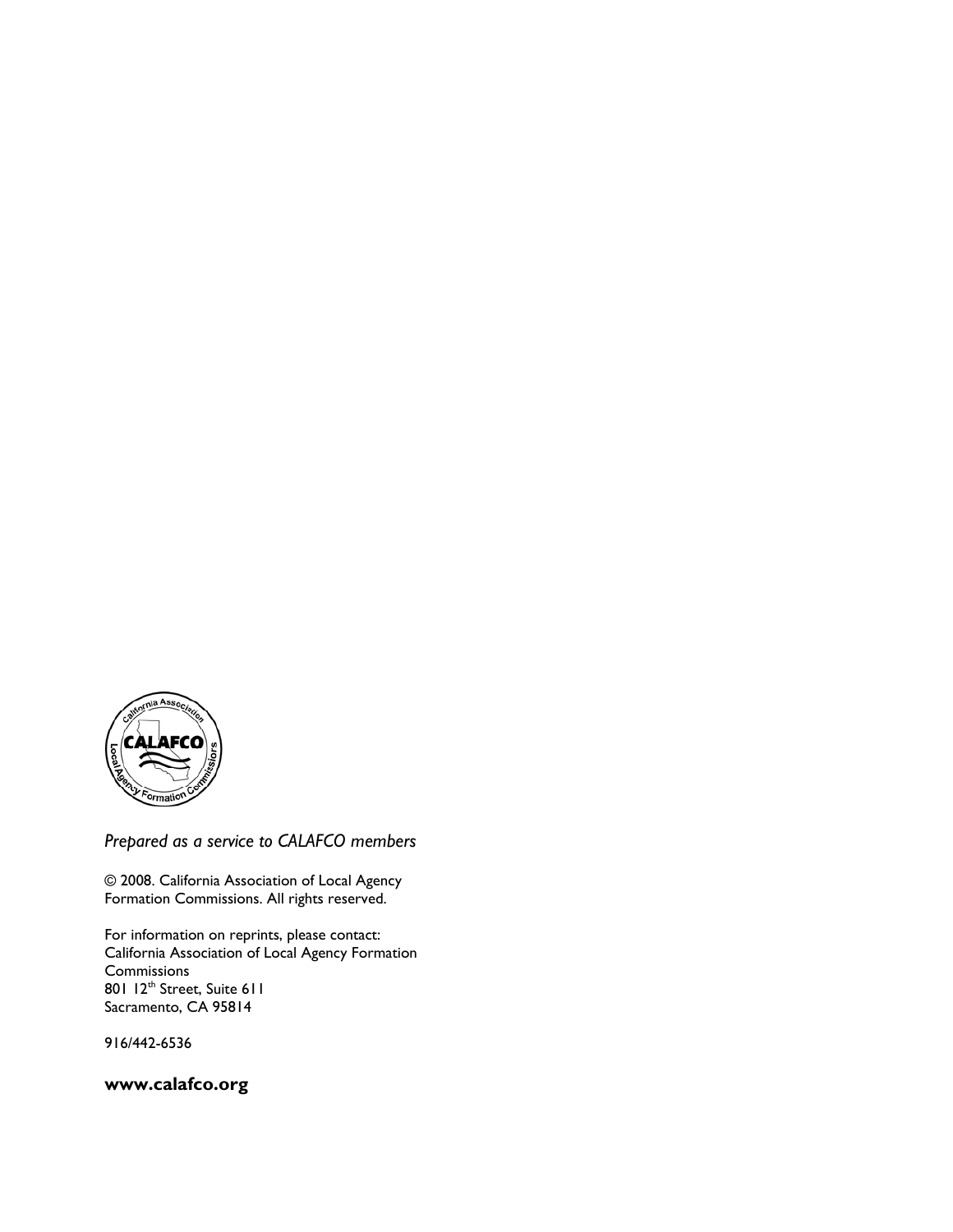

*Prepared as a service to CALAFCO members*

© 2008. California Association of Local Agency Formation Commissions. All rights reserved.

For information on reprints, please contact: California Association of Local Agency Formation Commissions 801 12<sup>th</sup> Street, Suite 611 Sacramento, CA 95814

916/442-6536

**www.calafco.org**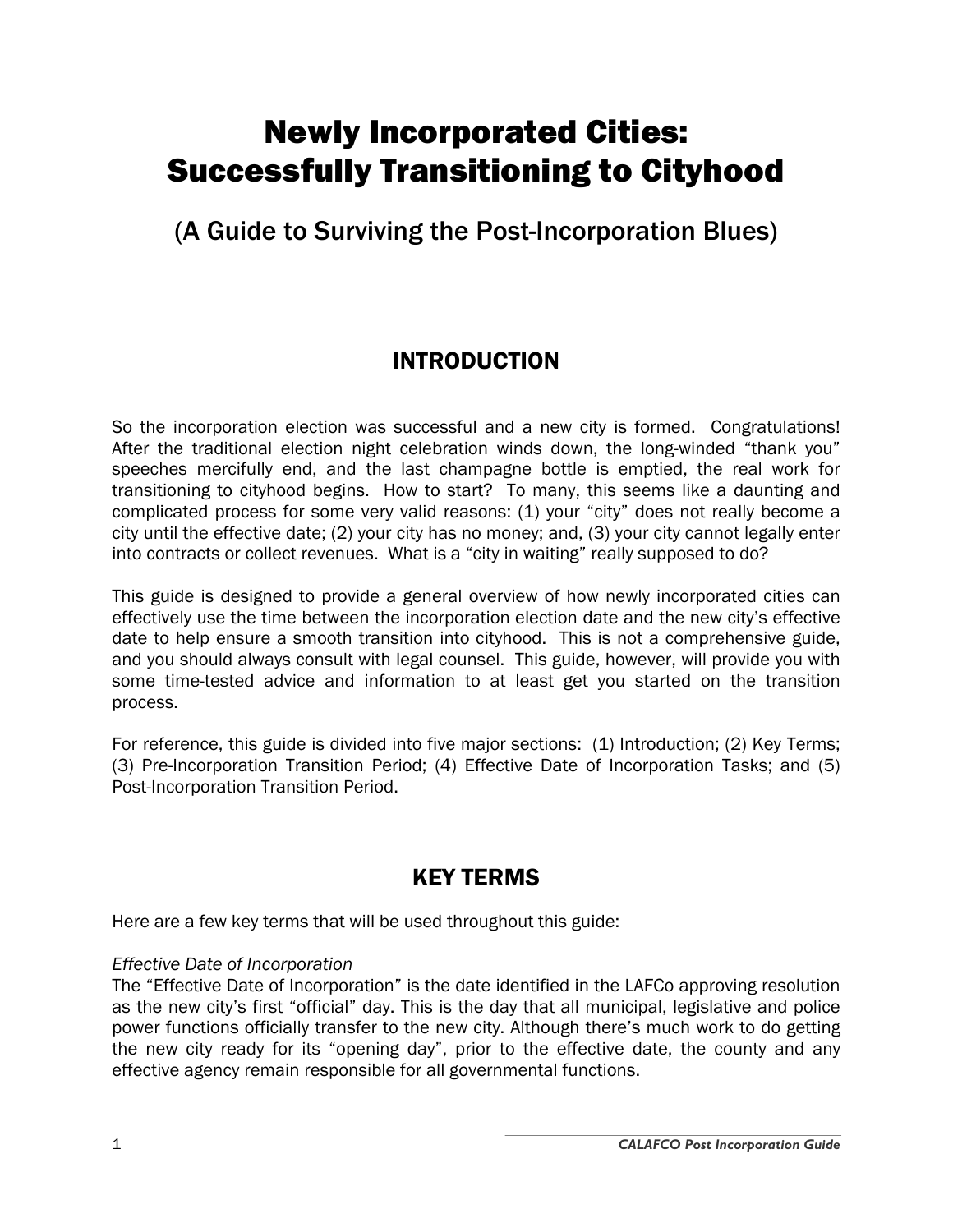## Newly Incorporated Cities: Successfully Transitioning to Cityhood

## (A Guide to Surviving the Post-Incorporation Blues)

## INTRODUCTION

So the incorporation election was successful and a new city is formed. Congratulations! After the traditional election night celebration winds down, the long-winded "thank you" speeches mercifully end, and the last champagne bottle is emptied, the real work for transitioning to cityhood begins. How to start? To many, this seems like a daunting and complicated process for some very valid reasons: (1) your "city" does not really become a city until the effective date; (2) your city has no money; and, (3) your city cannot legally enter into contracts or collect revenues. What is a "city in waiting" really supposed to do?

This guide is designed to provide a general overview of how newly incorporated cities can effectively use the time between the incorporation election date and the new city's effective date to help ensure a smooth transition into cityhood. This is not a comprehensive guide, and you should always consult with legal counsel. This guide, however, will provide you with some time-tested advice and information to at least get you started on the transition process.

For reference, this guide is divided into five major sections: (1) Introduction; (2) Key Terms; (3) Pre-Incorporation Transition Period; (4) Effective Date of Incorporation Tasks; and (5) Post-Incorporation Transition Period.

## KEY TERMS

Here are a few key terms that will be used throughout this guide:

#### *Effective Date of Incorporation*

The "Effective Date of Incorporation" is the date identified in the LAFCo approving resolution as the new city's first "official" day. This is the day that all municipal, legislative and police power functions officially transfer to the new city. Although there's much work to do getting the new city ready for its "opening day", prior to the effective date, the county and any effective agency remain responsible for all governmental functions.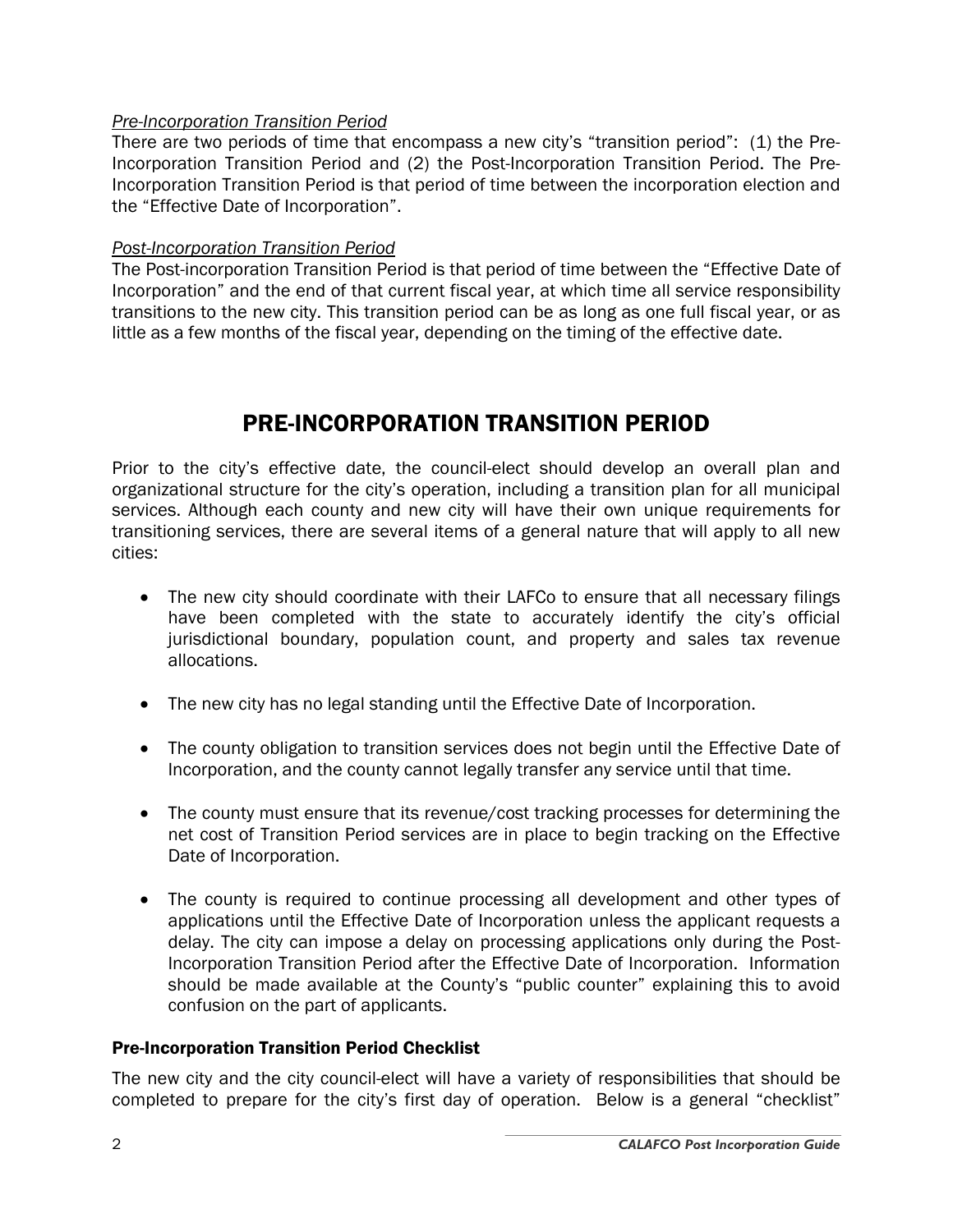#### *Pre-Incorporation Transition Period*

There are two periods of time that encompass a new city's "transition period": (1) the Pre-Incorporation Transition Period and (2) the Post-Incorporation Transition Period. The Pre-Incorporation Transition Period is that period of time between the incorporation election and the "Effective Date of Incorporation".

#### *Post-Incorporation Transition Period*

The Post-incorporation Transition Period is that period of time between the "Effective Date of Incorporation" and the end of that current fiscal year, at which time all service responsibility transitions to the new city. This transition period can be as long as one full fiscal year, or as little as a few months of the fiscal year, depending on the timing of the effective date.

### PRE-INCORPORATION TRANSITION PERIOD

Prior to the city's effective date, the council-elect should develop an overall plan and organizational structure for the city's operation, including a transition plan for all municipal services. Although each county and new city will have their own unique requirements for transitioning services, there are several items of a general nature that will apply to all new cities:

- The new city should coordinate with their LAFCo to ensure that all necessary filings have been completed with the state to accurately identify the city's official jurisdictional boundary, population count, and property and sales tax revenue allocations.
- The new city has no legal standing until the Effective Date of Incorporation.
- The county obligation to transition services does not begin until the Effective Date of Incorporation, and the county cannot legally transfer any service until that time.
- The county must ensure that its revenue/cost tracking processes for determining the net cost of Transition Period services are in place to begin tracking on the Effective Date of Incorporation.
- The county is required to continue processing all development and other types of applications until the Effective Date of Incorporation unless the applicant requests a delay. The city can impose a delay on processing applications only during the Post-Incorporation Transition Period after the Effective Date of Incorporation. Information should be made available at the County's "public counter" explaining this to avoid confusion on the part of applicants.

#### Pre-Incorporation Transition Period Checklist

The new city and the city council-elect will have a variety of responsibilities that should be completed to prepare for the city's first day of operation. Below is a general "checklist"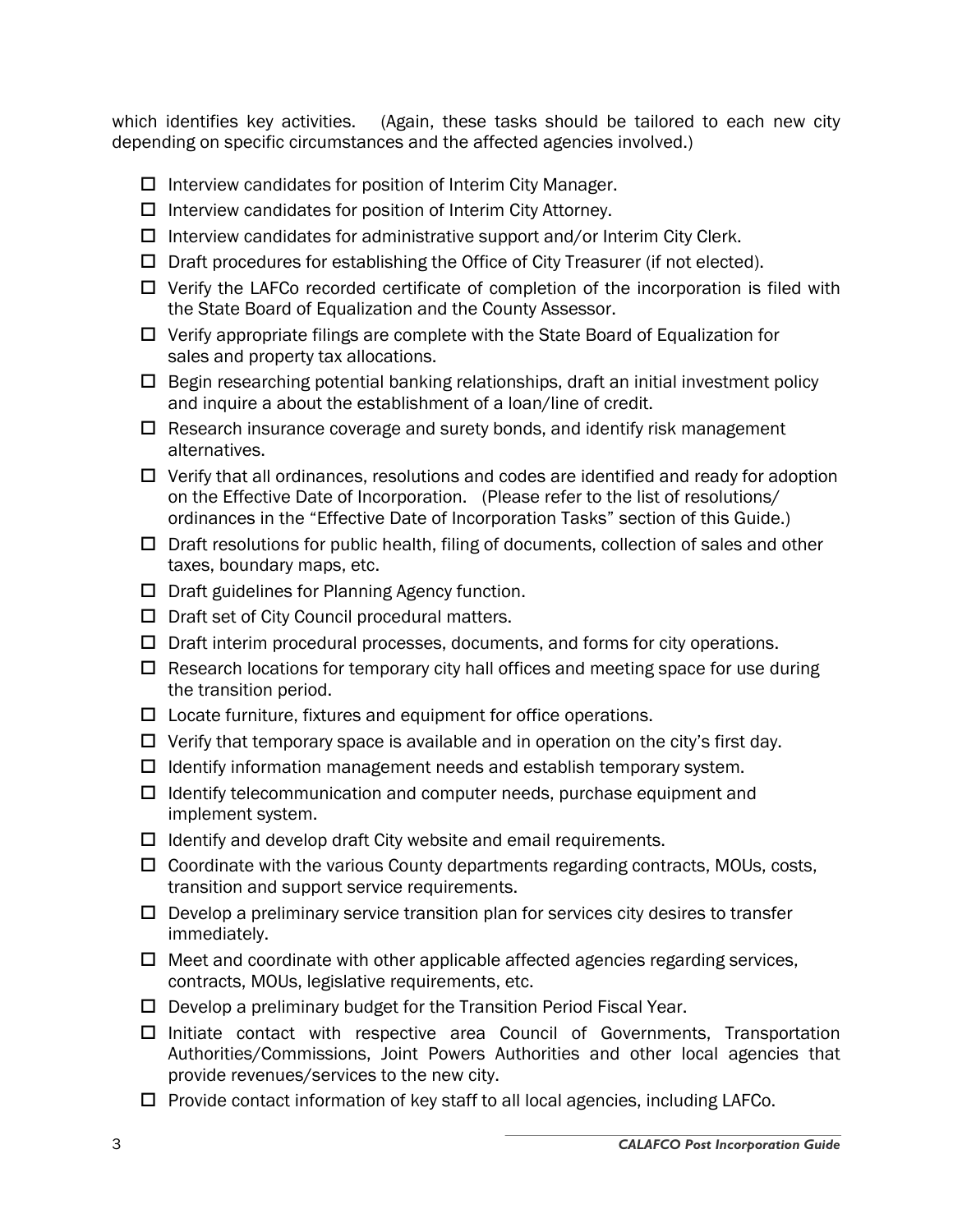which identifies key activities. (Again, these tasks should be tailored to each new city depending on specific circumstances and the affected agencies involved.)

- $\Box$  Interview candidates for position of Interim City Manager.
- $\Box$  Interview candidates for position of Interim City Attorney.
- $\Box$  Interview candidates for administrative support and/or Interim City Clerk.
- $\Box$  Draft procedures for establishing the Office of City Treasurer (if not elected).
- $\Box$  Verify the LAFCo recorded certificate of completion of the incorporation is filed with the State Board of Equalization and the County Assessor.
- $\Box$  Verify appropriate filings are complete with the State Board of Equalization for sales and property tax allocations.
- $\Box$  Begin researching potential banking relationships, draft an initial investment policy and inquire a about the establishment of a loan/line of credit.
- $\Box$  Research insurance coverage and surety bonds, and identify risk management alternatives.
- $\Box$  Verify that all ordinances, resolutions and codes are identified and ready for adoption on the Effective Date of Incorporation. (Please refer to the list of resolutions/ ordinances in the "Effective Date of Incorporation Tasks" section of this Guide.)
- $\Box$  Draft resolutions for public health, filing of documents, collection of sales and other taxes, boundary maps, etc.
- $\Box$  Draft guidelines for Planning Agency function.
- $\Box$  Draft set of City Council procedural matters.
- $\Box$  Draft interim procedural processes, documents, and forms for city operations.
- $\Box$  Research locations for temporary city hall offices and meeting space for use during the transition period.
- $\square$  Locate furniture, fixtures and equipment for office operations.
- $\Box$  Verify that temporary space is available and in operation on the city's first day.
- $\Box$  Identify information management needs and establish temporary system.
- $\Box$  Identify telecommunication and computer needs, purchase equipment and implement system.
- $\Box$  Identify and develop draft City website and email requirements.
- $\Box$  Coordinate with the various County departments regarding contracts, MOUs, costs, transition and support service requirements.
- $\Box$  Develop a preliminary service transition plan for services city desires to transfer immediately.
- $\Box$  Meet and coordinate with other applicable affected agencies regarding services, contracts, MOUs, legislative requirements, etc.
- $\Box$  Develop a preliminary budget for the Transition Period Fiscal Year.
- $\Box$  Initiate contact with respective area Council of Governments, Transportation Authorities/Commissions, Joint Powers Authorities and other local agencies that provide revenues/services to the new city.
- $\Box$  Provide contact information of key staff to all local agencies, including LAFCo.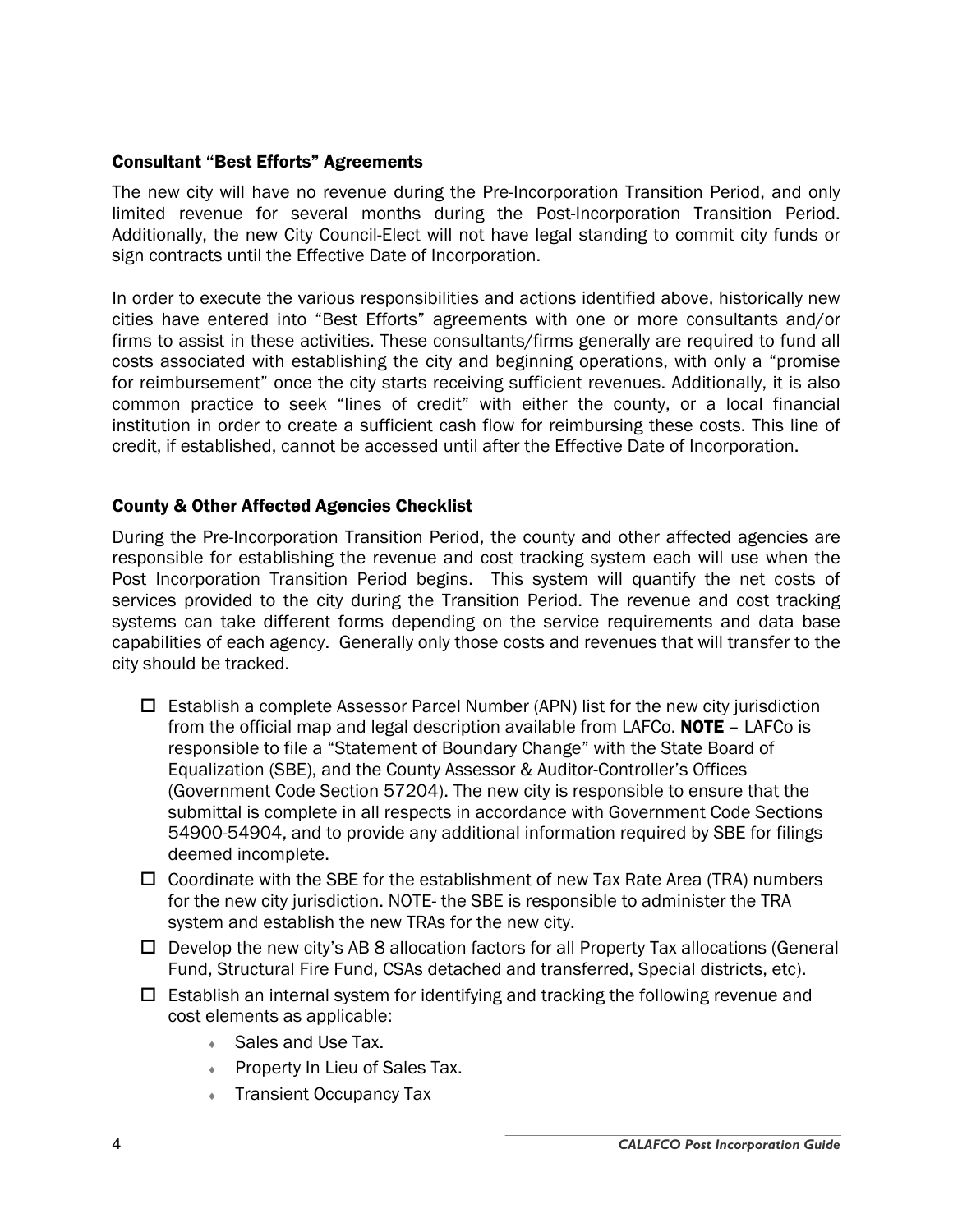#### Consultant "Best Efforts" Agreements

The new city will have no revenue during the Pre-Incorporation Transition Period, and only limited revenue for several months during the Post-Incorporation Transition Period. Additionally, the new City Council-Elect will not have legal standing to commit city funds or sign contracts until the Effective Date of Incorporation.

In order to execute the various responsibilities and actions identified above, historically new cities have entered into "Best Efforts" agreements with one or more consultants and/or firms to assist in these activities. These consultants/firms generally are required to fund all costs associated with establishing the city and beginning operations, with only a "promise for reimbursement" once the city starts receiving sufficient revenues. Additionally, it is also common practice to seek "lines of credit" with either the county, or a local financial institution in order to create a sufficient cash flow for reimbursing these costs. This line of credit, if established, cannot be accessed until after the Effective Date of Incorporation.

#### County & Other Affected Agencies Checklist

During the Pre-Incorporation Transition Period, the county and other affected agencies are responsible for establishing the revenue and cost tracking system each will use when the Post Incorporation Transition Period begins. This system will quantify the net costs of services provided to the city during the Transition Period. The revenue and cost tracking systems can take different forms depending on the service requirements and data base capabilities of each agency. Generally only those costs and revenues that will transfer to the city should be tracked.

- $\Box$  Establish a complete Assessor Parcel Number (APN) list for the new city jurisdiction from the official map and legal description available from LAFCo. **NOTE**  $-$  LAFCo is responsible to file a "Statement of Boundary Change" with the State Board of Equalization (SBE), and the County Assessor & Auditor-Controller's Offices (Government Code Section 57204). The new city is responsible to ensure that the submittal is complete in all respects in accordance with Government Code Sections 54900-54904, and to provide any additional information required by SBE for filings deemed incomplete.
- $\Box$  Coordinate with the SBE for the establishment of new Tax Rate Area (TRA) numbers for the new city jurisdiction. NOTE- the SBE is responsible to administer the TRA system and establish the new TRAs for the new city.
- $\Box$  Develop the new city's AB 8 allocation factors for all Property Tax allocations (General Fund, Structural Fire Fund, CSAs detached and transferred, Special districts, etc).
- $\Box$  Establish an internal system for identifying and tracking the following revenue and cost elements as applicable:
	- ◆ Sales and Use Tax.
	- Property In Lieu of Sales Tax.
	- Transient Occupancy Tax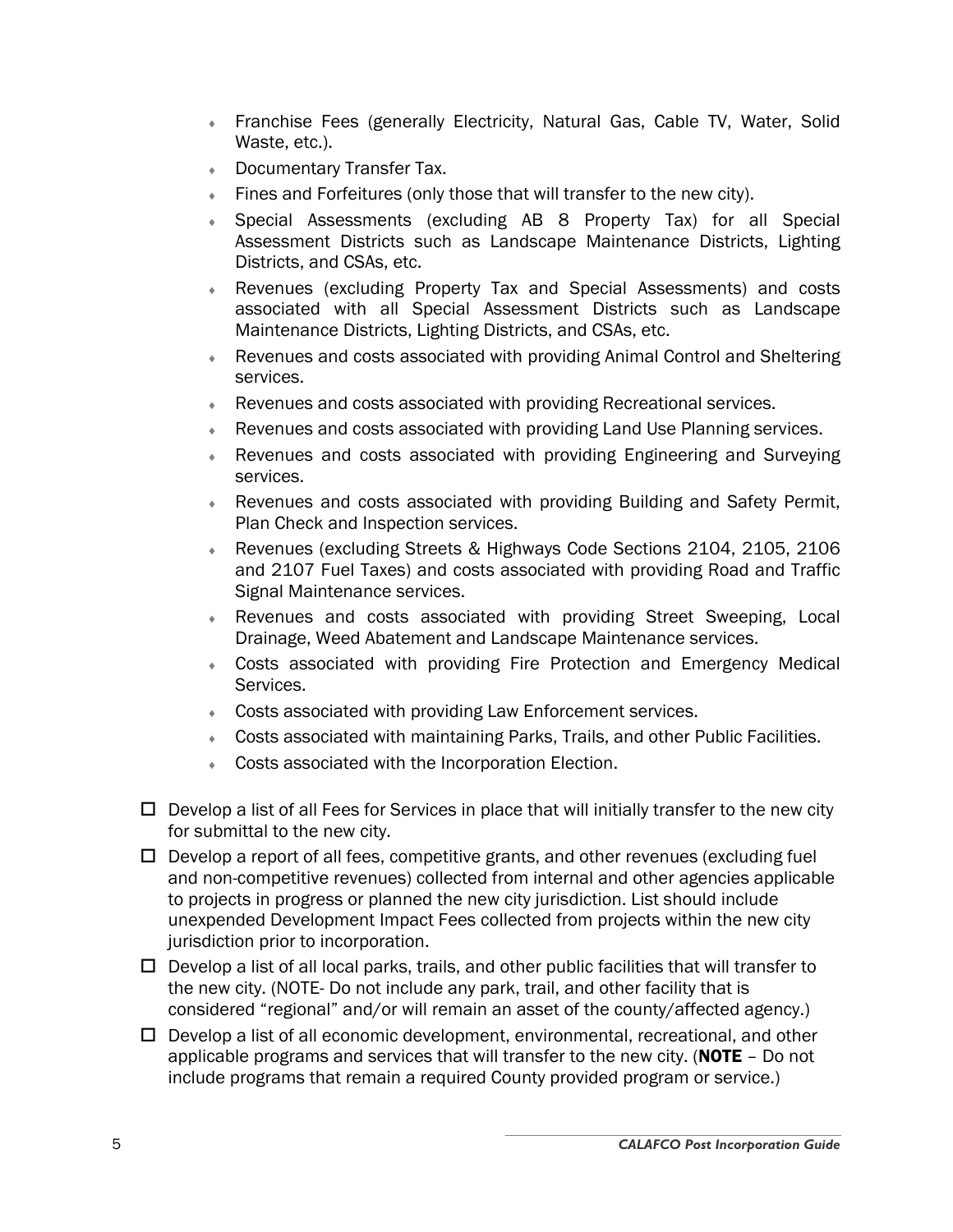- Franchise Fees (generally Electricity, Natural Gas, Cable TV, Water, Solid Waste, etc.).
- Documentary Transfer Tax.
- ♦ Fines and Forfeitures (only those that will transfer to the new city).
- Special Assessments (excluding AB 8 Property Tax) for all Special Assessment Districts such as Landscape Maintenance Districts, Lighting Districts, and CSAs, etc.
- ♦ Revenues (excluding Property Tax and Special Assessments) and costs associated with all Special Assessment Districts such as Landscape Maintenance Districts, Lighting Districts, and CSAs, etc.
- Revenues and costs associated with providing Animal Control and Sheltering services.
- ♦ Revenues and costs associated with providing Recreational services.
- Revenues and costs associated with providing Land Use Planning services.
- Revenues and costs associated with providing Engineering and Surveying services.
- Revenues and costs associated with providing Building and Safety Permit, Plan Check and Inspection services.
- ♦ Revenues (excluding Streets & Highways Code Sections 2104, 2105, 2106 and 2107 Fuel Taxes) and costs associated with providing Road and Traffic Signal Maintenance services.
- Revenues and costs associated with providing Street Sweeping, Local Drainage, Weed Abatement and Landscape Maintenance services.
- Costs associated with providing Fire Protection and Emergency Medical Services.
- Costs associated with providing Law Enforcement services.
- Costs associated with maintaining Parks, Trails, and other Public Facilities.
- **Costs associated with the Incorporation Election.**
- $\Box$  Develop a list of all Fees for Services in place that will initially transfer to the new city for submittal to the new city.
- $\Box$  Develop a report of all fees, competitive grants, and other revenues (excluding fuel and non-competitive revenues) collected from internal and other agencies applicable to projects in progress or planned the new city jurisdiction. List should include unexpended Development Impact Fees collected from projects within the new city jurisdiction prior to incorporation.
- $\Box$  Develop a list of all local parks, trails, and other public facilities that will transfer to the new city. (NOTE- Do not include any park, trail, and other facility that is considered "regional" and/or will remain an asset of the county/affected agency.)
- $\Box$  Develop a list of all economic development, environmental, recreational, and other applicable programs and services that will transfer to the new city. (**NOTE** - Do not include programs that remain a required County provided program or service.)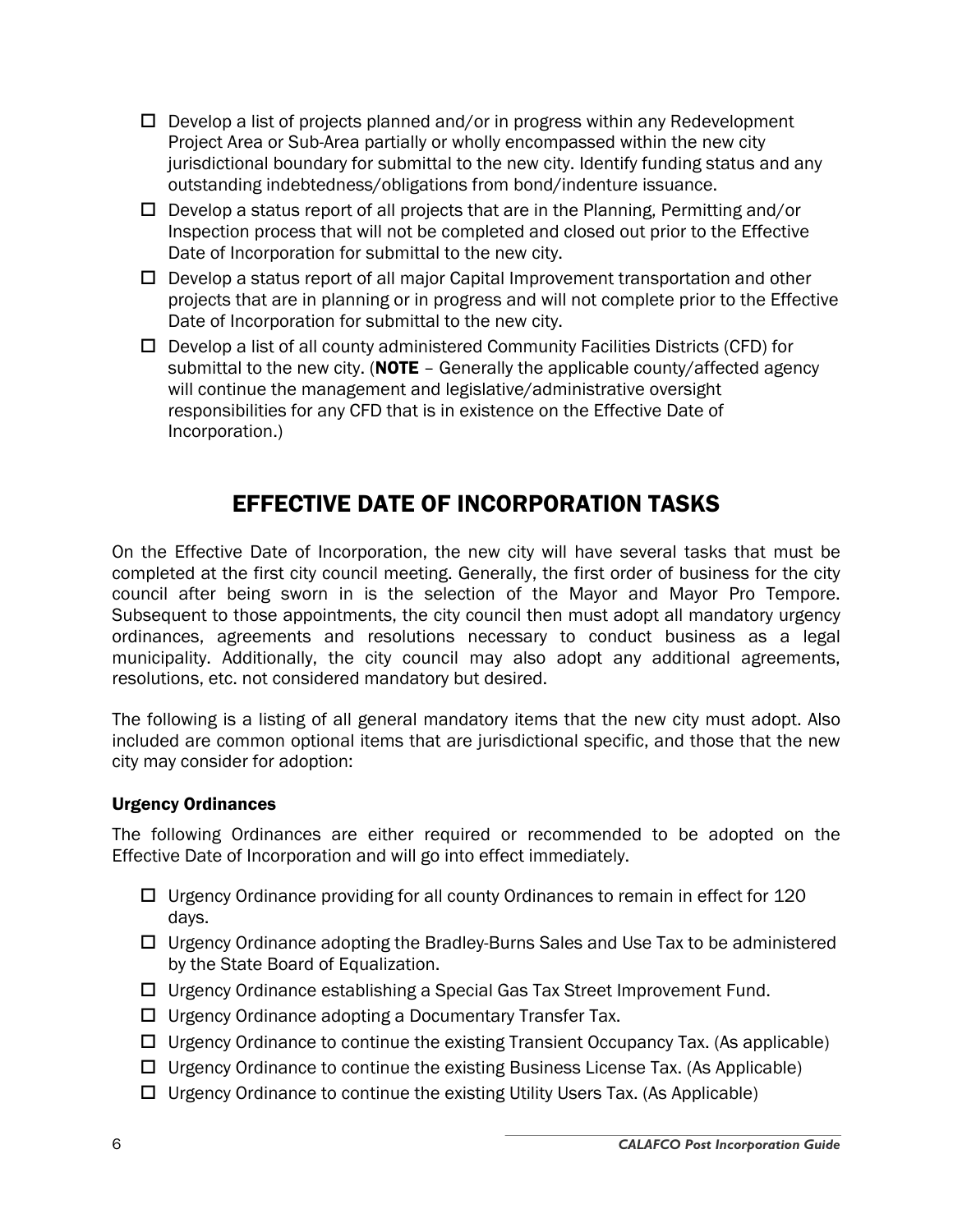- $\Box$  Develop a list of projects planned and/or in progress within any Redevelopment Project Area or Sub-Area partially or wholly encompassed within the new city jurisdictional boundary for submittal to the new city. Identify funding status and any outstanding indebtedness/obligations from bond/indenture issuance.
- $\square$  Develop a status report of all projects that are in the Planning, Permitting and/or Inspection process that will not be completed and closed out prior to the Effective Date of Incorporation for submittal to the new city.
- $\Box$  Develop a status report of all major Capital Improvement transportation and other projects that are in planning or in progress and will not complete prior to the Effective Date of Incorporation for submittal to the new city.
- $\Box$  Develop a list of all county administered Community Facilities Districts (CFD) for submittal to the new city. ( $NOTE - Generally$  the applicable county/affected agency will continue the management and legislative/administrative oversight responsibilities for any CFD that is in existence on the Effective Date of Incorporation.)

## EFFECTIVE DATE OF INCORPORATION TASKS

On the Effective Date of Incorporation, the new city will have several tasks that must be completed at the first city council meeting. Generally, the first order of business for the city council after being sworn in is the selection of the Mayor and Mayor Pro Tempore. Subsequent to those appointments, the city council then must adopt all mandatory urgency ordinances, agreements and resolutions necessary to conduct business as a legal municipality. Additionally, the city council may also adopt any additional agreements, resolutions, etc. not considered mandatory but desired.

The following is a listing of all general mandatory items that the new city must adopt. Also included are common optional items that are jurisdictional specific, and those that the new city may consider for adoption:

#### Urgency Ordinances

The following Ordinances are either required or recommended to be adopted on the Effective Date of Incorporation and will go into effect immediately.

- $\Box$  Urgency Ordinance providing for all county Ordinances to remain in effect for 120 days.
- $\Box$  Urgency Ordinance adopting the Bradley-Burns Sales and Use Tax to be administered by the State Board of Equalization.
- □ Urgency Ordinance establishing a Special Gas Tax Street Improvement Fund.
- $\Box$  Urgency Ordinance adopting a Documentary Transfer Tax.
- $\Box$  Urgency Ordinance to continue the existing Transient Occupancy Tax. (As applicable)
- $\Box$  Urgency Ordinance to continue the existing Business License Tax. (As Applicable)
- $\Box$  Urgency Ordinance to continue the existing Utility Users Tax. (As Applicable)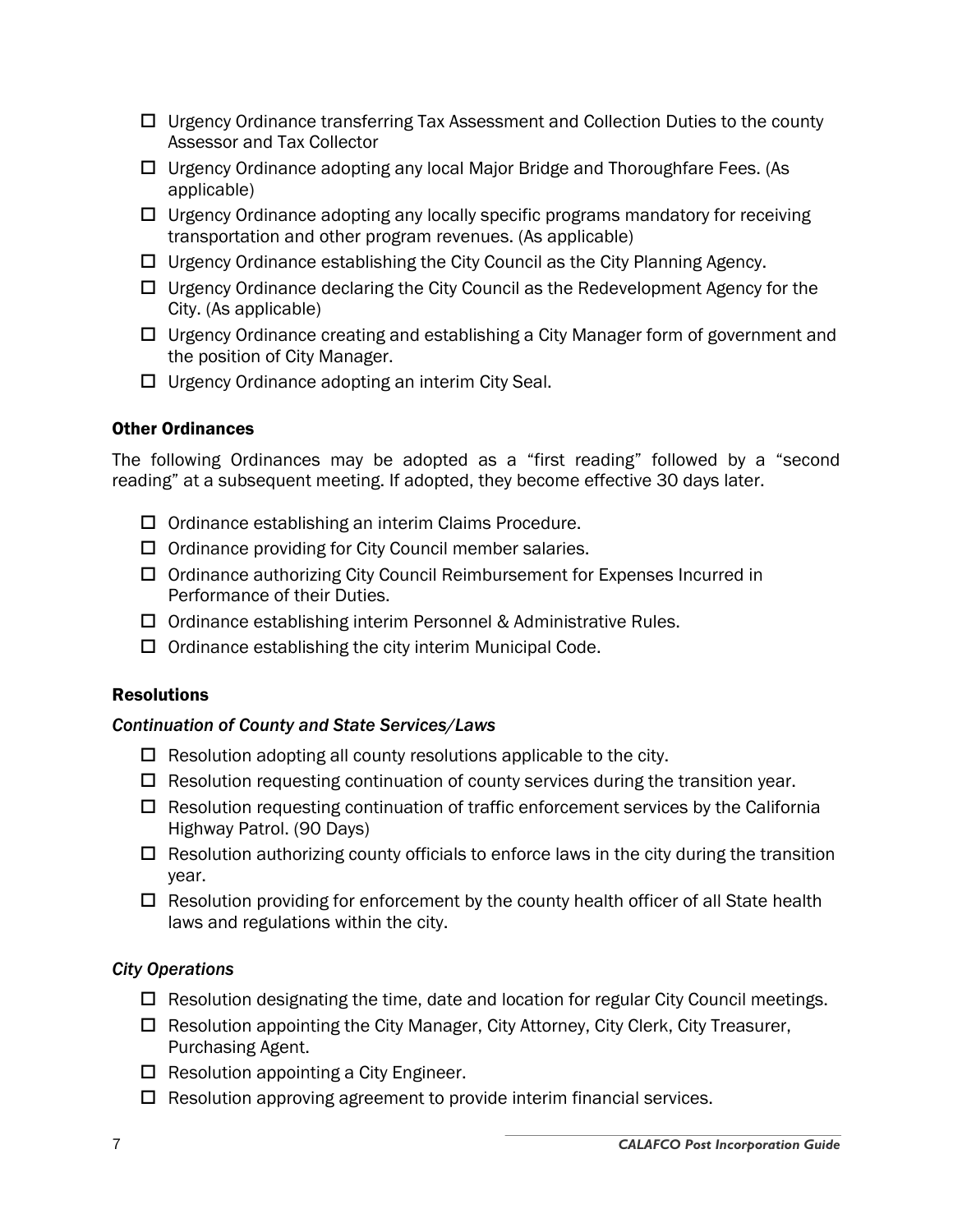- $\Box$  Urgency Ordinance transferring Tax Assessment and Collection Duties to the county Assessor and Tax Collector
- □ Urgency Ordinance adopting any local Major Bridge and Thoroughfare Fees. (As applicable)
- $\Box$  Urgency Ordinance adopting any locally specific programs mandatory for receiving transportation and other program revenues. (As applicable)
- $\Box$  Urgency Ordinance establishing the City Council as the City Planning Agency.
- $\Box$  Urgency Ordinance declaring the City Council as the Redevelopment Agency for the City. (As applicable)
- $\Box$  Urgency Ordinance creating and establishing a City Manager form of government and the position of City Manager.
- $\Box$  Urgency Ordinance adopting an interim City Seal.

#### Other Ordinances

The following Ordinances may be adopted as a "first reading" followed by a "second reading" at a subsequent meeting. If adopted, they become effective 30 days later.

- $\Box$  Ordinance establishing an interim Claims Procedure.
- $\Box$  Ordinance providing for City Council member salaries.
- $\Box$  Ordinance authorizing City Council Reimbursement for Expenses Incurred in Performance of their Duties.
- □ Ordinance establishing interim Personnel & Administrative Rules.
- $\Box$  Ordinance establishing the city interim Municipal Code.

#### Resolutions

#### *Continuation of County and State Services/Laws*

- $\Box$  Resolution adopting all county resolutions applicable to the city.
- $\Box$  Resolution requesting continuation of county services during the transition year.
- $\Box$  Resolution requesting continuation of traffic enforcement services by the California Highway Patrol. (90 Days)
- $\Box$  Resolution authorizing county officials to enforce laws in the city during the transition year.
- $\Box$  Resolution providing for enforcement by the county health officer of all State health laws and regulations within the city.

#### *City Operations*

- $\Box$  Resolution designating the time, date and location for regular City Council meetings.
- $\Box$  Resolution appointing the City Manager, City Attorney, City Clerk, City Treasurer, Purchasing Agent.
- $\Box$  Resolution appointing a City Engineer.
- $\Box$  Resolution approving agreement to provide interim financial services.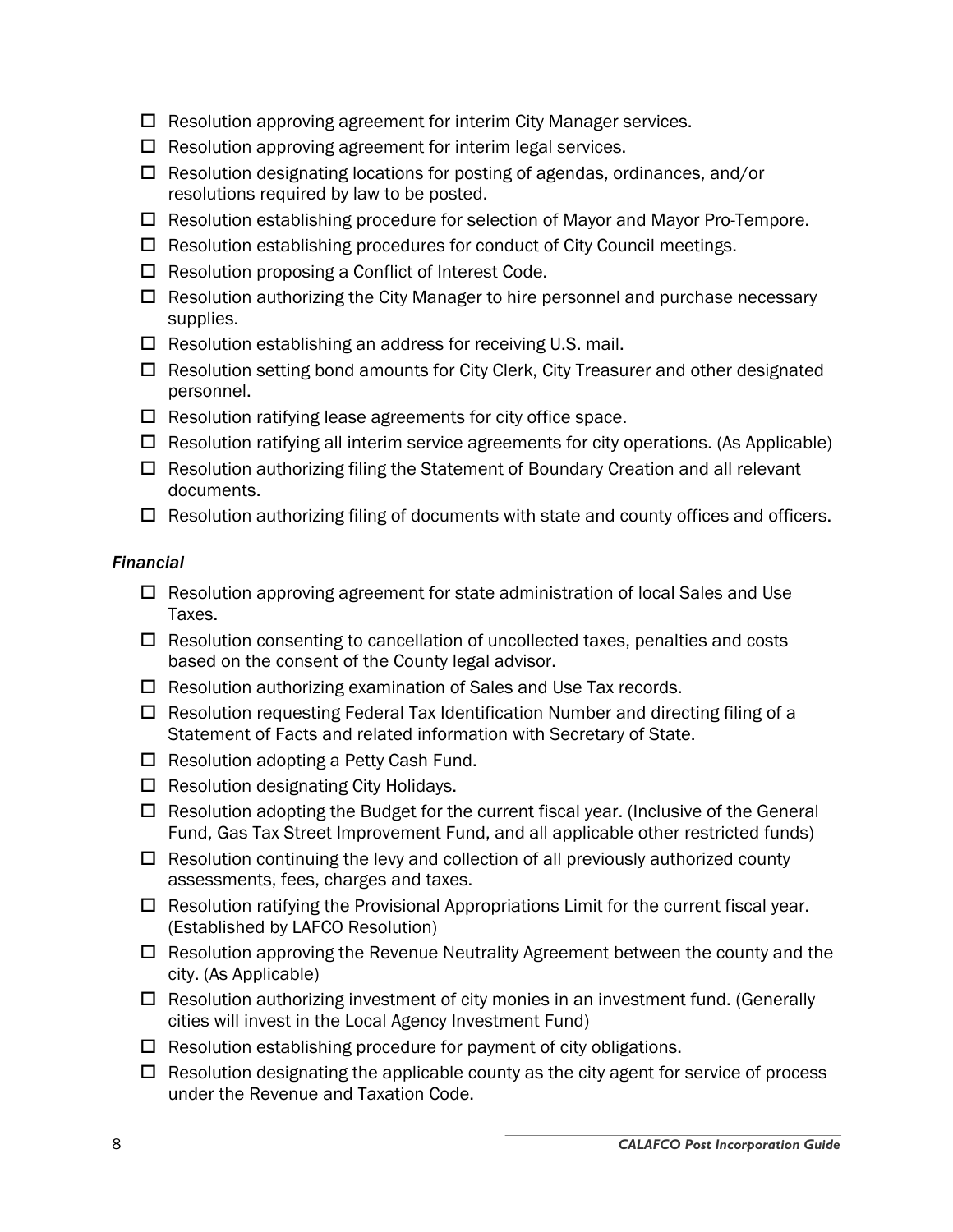- $\Box$  Resolution approving agreement for interim City Manager services.
- $\Box$  Resolution approving agreement for interim legal services.
- $\Box$  Resolution designating locations for posting of agendas, ordinances, and/or resolutions required by law to be posted.
- $\Box$  Resolution establishing procedure for selection of Mayor and Mayor Pro-Tempore.
- $\Box$  Resolution establishing procedures for conduct of City Council meetings.
- $\Box$  Resolution proposing a Conflict of Interest Code.
- $\Box$  Resolution authorizing the City Manager to hire personnel and purchase necessary supplies.
- $\Box$  Resolution establishing an address for receiving U.S. mail.
- $\Box$  Resolution setting bond amounts for City Clerk, City Treasurer and other designated personnel.
- $\Box$  Resolution ratifying lease agreements for city office space.
- $\Box$  Resolution ratifying all interim service agreements for city operations. (As Applicable)
- $\Box$  Resolution authorizing filing the Statement of Boundary Creation and all relevant documents.
- $\Box$  Resolution authorizing filing of documents with state and county offices and officers.

#### *Financial*

- $\Box$  Resolution approving agreement for state administration of local Sales and Use Taxes.
- $\Box$  Resolution consenting to cancellation of uncollected taxes, penalties and costs based on the consent of the County legal advisor.
- $\Box$  Resolution authorizing examination of Sales and Use Tax records.
- $\Box$  Resolution requesting Federal Tax Identification Number and directing filing of a Statement of Facts and related information with Secretary of State.
- $\Box$  Resolution adopting a Petty Cash Fund.
- $\Box$  Resolution designating City Holidays.
- $\Box$  Resolution adopting the Budget for the current fiscal year. (Inclusive of the General Fund, Gas Tax Street Improvement Fund, and all applicable other restricted funds)
- $\Box$  Resolution continuing the levy and collection of all previously authorized county assessments, fees, charges and taxes.
- $\Box$  Resolution ratifying the Provisional Appropriations Limit for the current fiscal year. (Established by LAFCO Resolution)
- $\Box$  Resolution approving the Revenue Neutrality Agreement between the county and the city. (As Applicable)
- $\Box$  Resolution authorizing investment of city monies in an investment fund. (Generally cities will invest in the Local Agency Investment Fund)
- $\Box$  Resolution establishing procedure for payment of city obligations.
- $\Box$  Resolution designating the applicable county as the city agent for service of process under the Revenue and Taxation Code.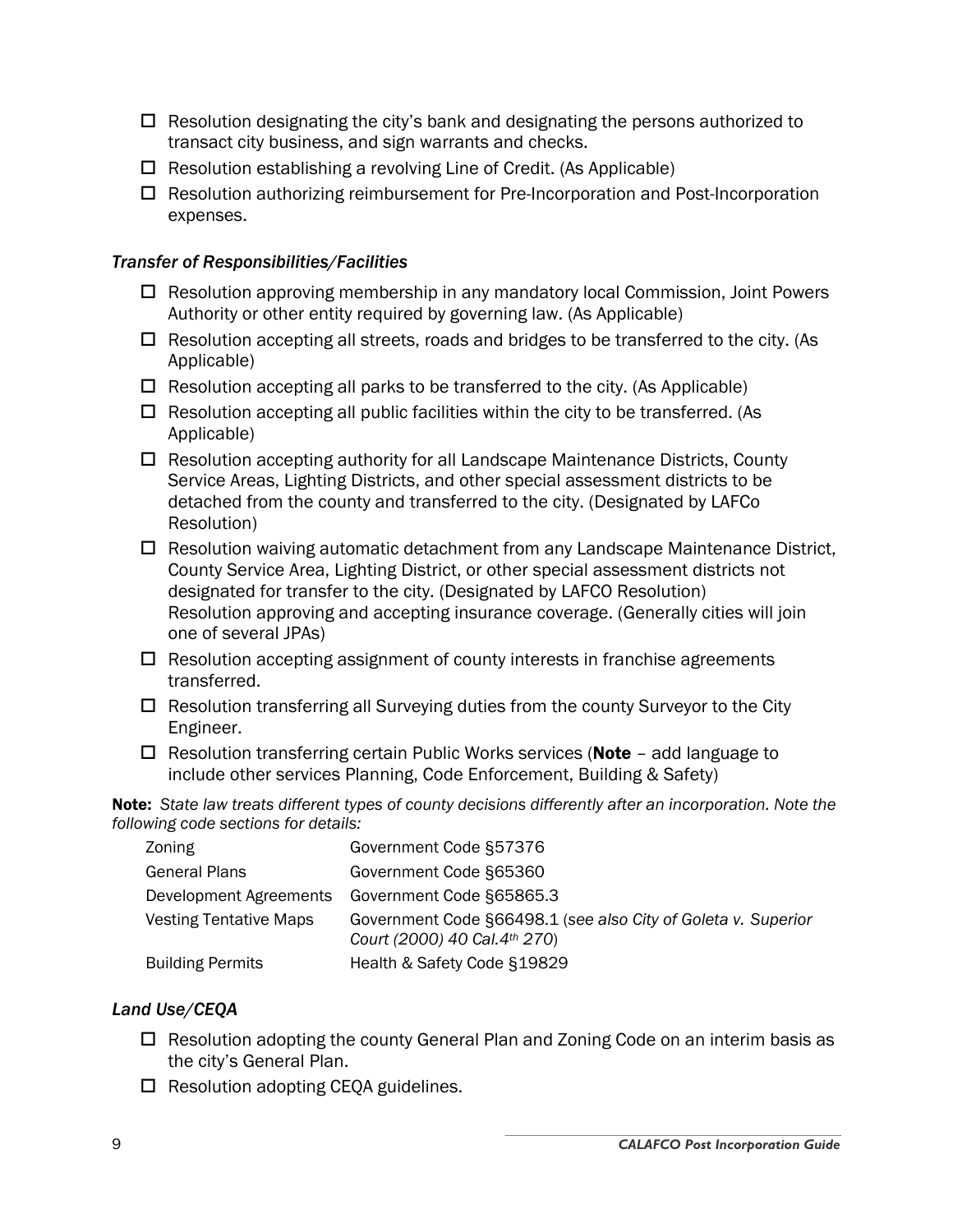- $\Box$  Resolution designating the city's bank and designating the persons authorized to transact city business, and sign warrants and checks.
- $\Box$  Resolution establishing a revolving Line of Credit. (As Applicable)
- Resolution authorizing reimbursement for Pre-Incorporation and Post-Incorporation expenses.

#### *Transfer of Responsibilities/Facilities*

- $\Box$  Resolution approving membership in any mandatory local Commission, Joint Powers Authority or other entity required by governing law. (As Applicable)
- $\Box$  Resolution accepting all streets, roads and bridges to be transferred to the city. (As Applicable)
- $\Box$  Resolution accepting all parks to be transferred to the city. (As Applicable)
- $\Box$  Resolution accepting all public facilities within the city to be transferred. (As Applicable)
- $\Box$  Resolution accepting authority for all Landscape Maintenance Districts, County Service Areas, Lighting Districts, and other special assessment districts to be detached from the county and transferred to the city. (Designated by LAFCo Resolution)
- $\Box$  Resolution waiving automatic detachment from any Landscape Maintenance District, County Service Area, Lighting District, or other special assessment districts not designated for transfer to the city. (Designated by LAFCO Resolution) Resolution approving and accepting insurance coverage. (Generally cities will join one of several JPAs)
- $\Box$  Resolution accepting assignment of county interests in franchise agreements transferred.
- $\Box$  Resolution transferring all Surveying duties from the county Surveyor to the City Engineer.
- $\Box$  Resolution transferring certain Public Works services (**Note** add language to include other services Planning, Code Enforcement, Building & Safety)

Note: *State law treats different types of county decisions differently after an incorporation. Note the following code sections for details:* 

| Zoning                        | Government Code §57376                                                                         |
|-------------------------------|------------------------------------------------------------------------------------------------|
| <b>General Plans</b>          | Government Code §65360                                                                         |
| Development Agreements        | Government Code §65865.3                                                                       |
| <b>Vesting Tentative Maps</b> | Government Code §66498.1 (see also City of Goleta v. Superior<br>Court (2000) 40 Cal. 4th 270) |
| <b>Building Permits</b>       | Health & Safety Code §19829                                                                    |

#### *Land Use/CEQA*

- $\Box$  Resolution adopting the county General Plan and Zoning Code on an interim basis as the city's General Plan.
- $\Box$  Resolution adopting CEQA guidelines.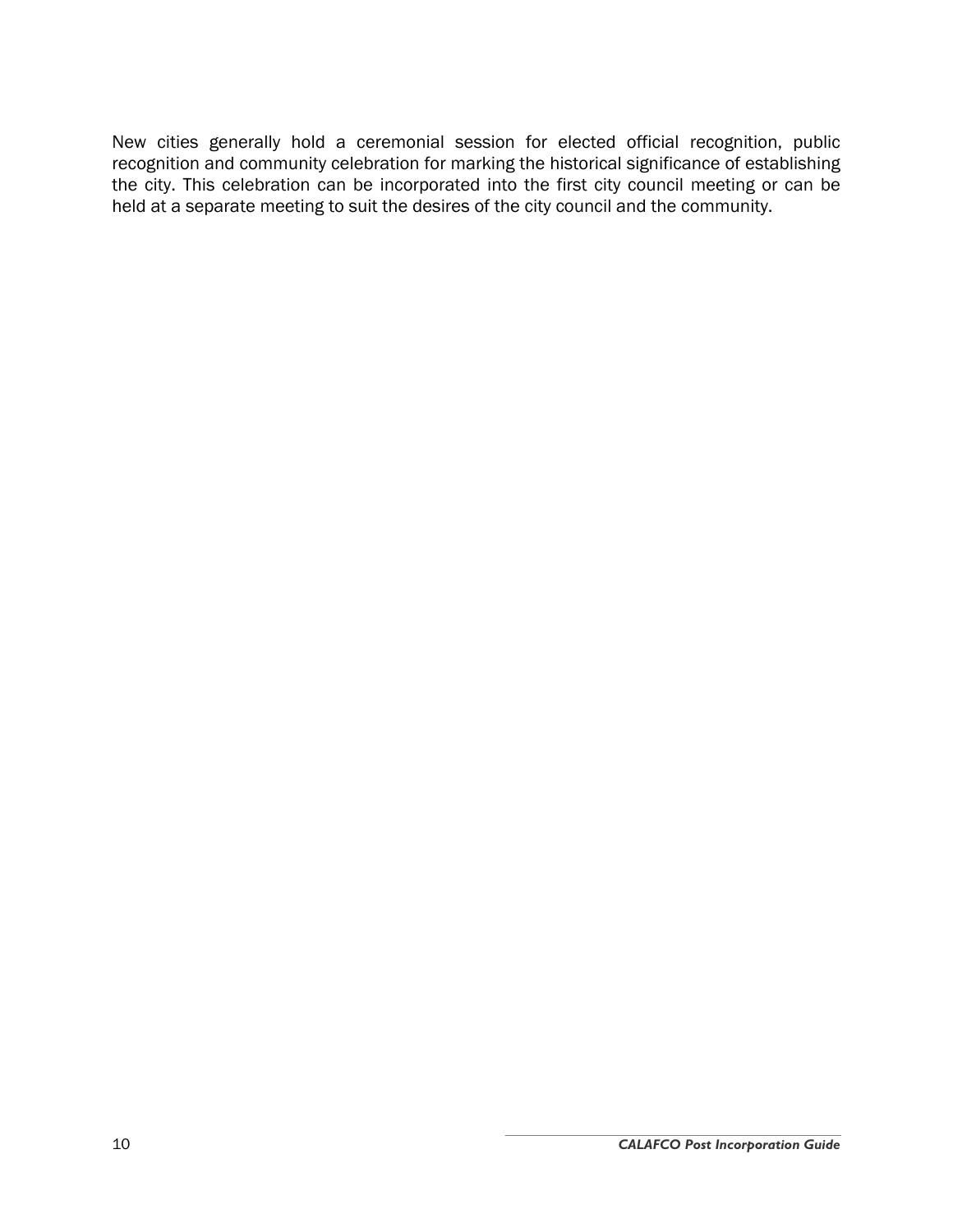New cities generally hold a ceremonial session for elected official recognition, public recognition and community celebration for marking the historical significance of establishing the city. This celebration can be incorporated into the first city council meeting or can be held at a separate meeting to suit the desires of the city council and the community.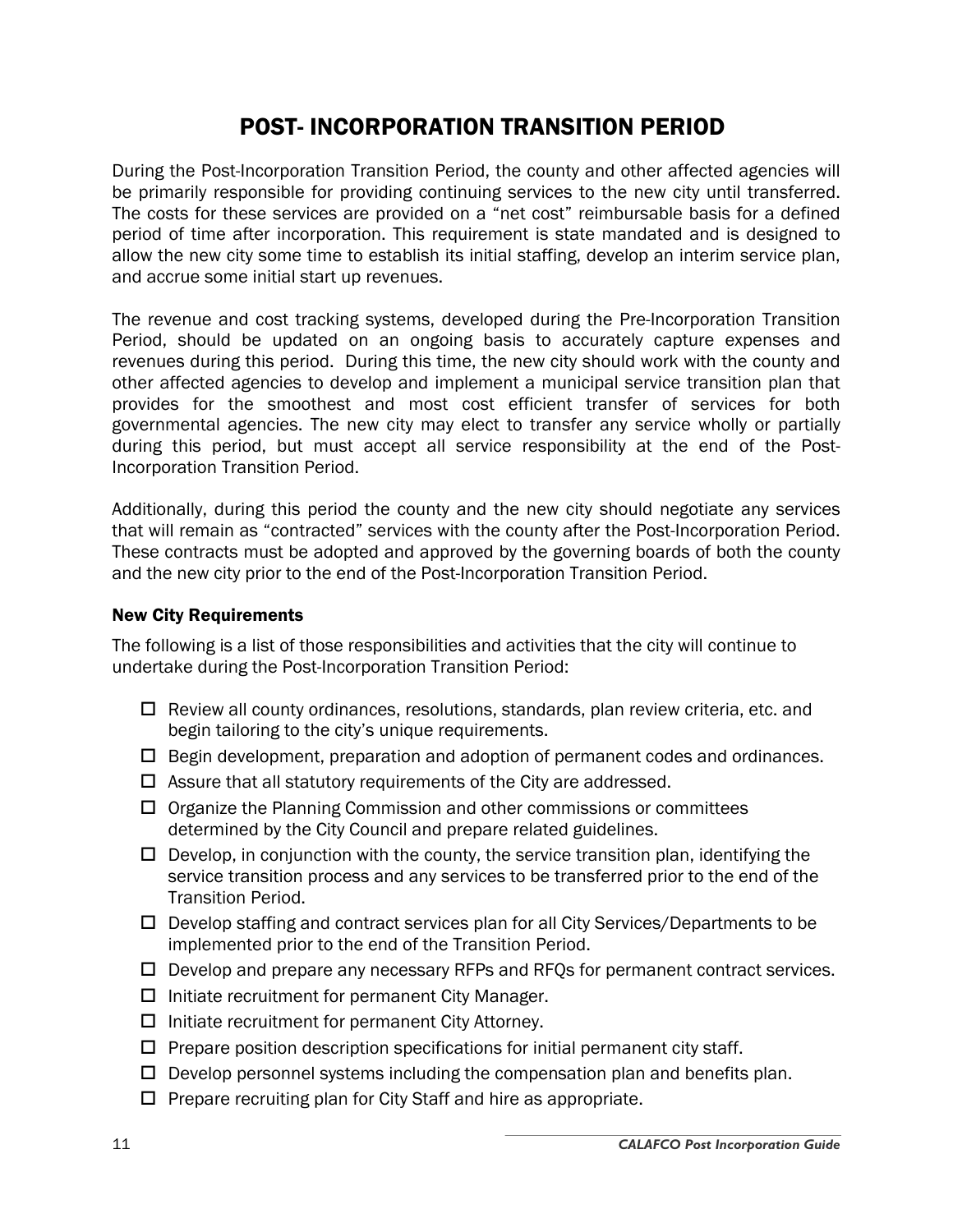## POST- INCORPORATION TRANSITION PERIOD

During the Post-Incorporation Transition Period, the county and other affected agencies will be primarily responsible for providing continuing services to the new city until transferred. The costs for these services are provided on a "net cost" reimbursable basis for a defined period of time after incorporation. This requirement is state mandated and is designed to allow the new city some time to establish its initial staffing, develop an interim service plan, and accrue some initial start up revenues.

The revenue and cost tracking systems, developed during the Pre-Incorporation Transition Period, should be updated on an ongoing basis to accurately capture expenses and revenues during this period. During this time, the new city should work with the county and other affected agencies to develop and implement a municipal service transition plan that provides for the smoothest and most cost efficient transfer of services for both governmental agencies. The new city may elect to transfer any service wholly or partially during this period, but must accept all service responsibility at the end of the Post-Incorporation Transition Period.

Additionally, during this period the county and the new city should negotiate any services that will remain as "contracted" services with the county after the Post-Incorporation Period. These contracts must be adopted and approved by the governing boards of both the county and the new city prior to the end of the Post-Incorporation Transition Period.

#### New City Requirements

The following is a list of those responsibilities and activities that the city will continue to undertake during the Post-Incorporation Transition Period:

- $\Box$  Review all county ordinances, resolutions, standards, plan review criteria, etc. and begin tailoring to the city's unique requirements.
- $\Box$  Begin development, preparation and adoption of permanent codes and ordinances.
- $\Box$  Assure that all statutory requirements of the City are addressed.
- $\Box$  Organize the Planning Commission and other commissions or committees determined by the City Council and prepare related guidelines.
- $\Box$  Develop, in conjunction with the county, the service transition plan, identifying the service transition process and any services to be transferred prior to the end of the Transition Period.
- $\square$  Develop staffing and contract services plan for all City Services/Departments to be implemented prior to the end of the Transition Period.
- $\Box$  Develop and prepare any necessary RFPs and RFQs for permanent contract services.
- $\Box$  Initiate recruitment for permanent City Manager.
- $\Box$  Initiate recruitment for permanent City Attorney.
- $\Box$  Prepare position description specifications for initial permanent city staff.
- $\Box$  Develop personnel systems including the compensation plan and benefits plan.
- $\Box$  Prepare recruiting plan for City Staff and hire as appropriate.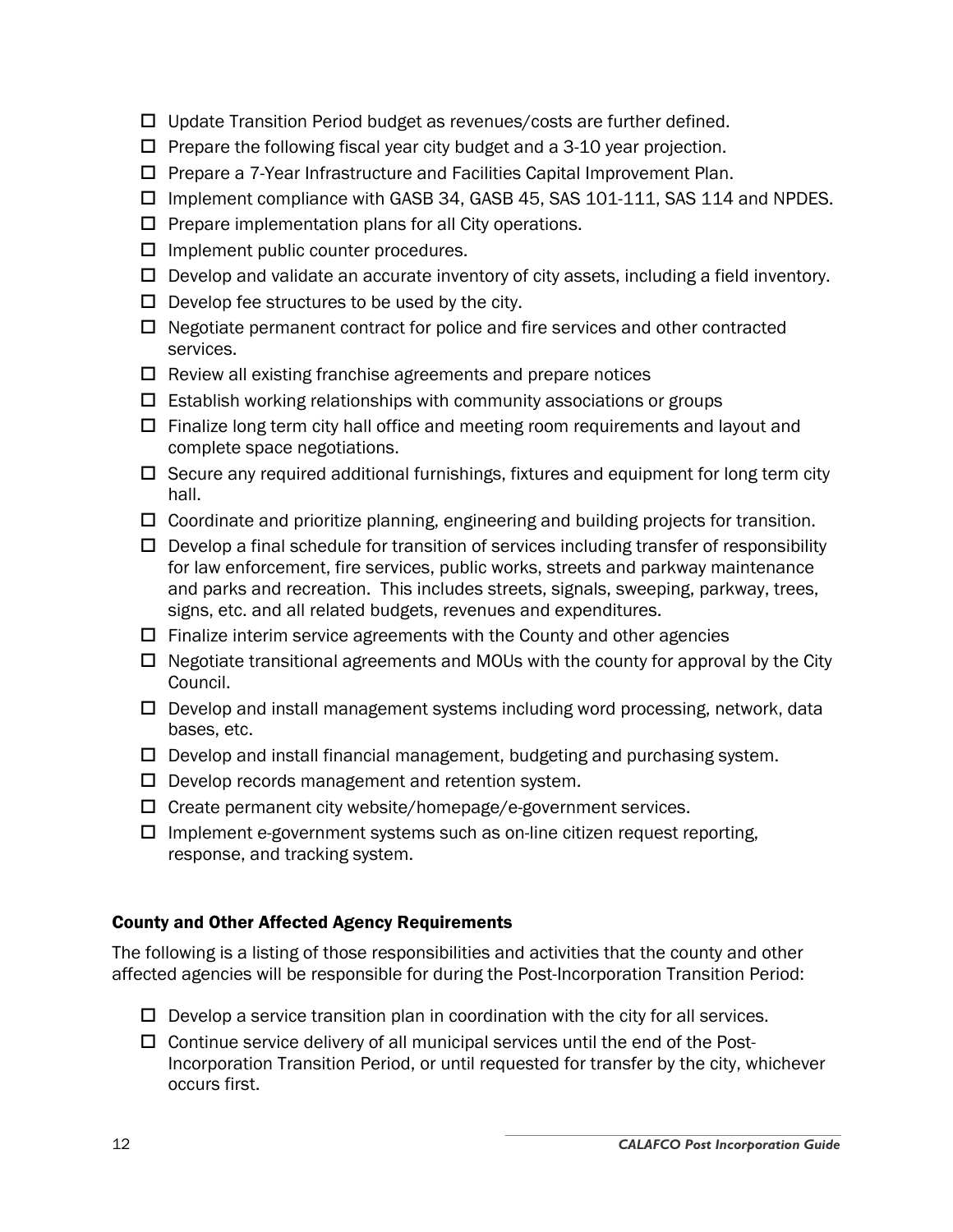- $\Box$  Update Transition Period budget as revenues/costs are further defined.
- $\Box$  Prepare the following fiscal year city budget and a 3-10 year projection.
- $\square$  Prepare a 7-Year Infrastructure and Facilities Capital Improvement Plan.
- □ Implement compliance with GASB 34, GASB 45, SAS 101-111, SAS 114 and NPDES.
- $\square$  Prepare implementation plans for all City operations.
- $\Box$  Implement public counter procedures.
- $\Box$  Develop and validate an accurate inventory of city assets, including a field inventory.
- $\Box$  Develop fee structures to be used by the city.
- $\Box$  Negotiate permanent contract for police and fire services and other contracted services.
- $\Box$  Review all existing franchise agreements and prepare notices
- $\Box$  Establish working relationships with community associations or groups
- $\Box$  Finalize long term city hall office and meeting room requirements and layout and complete space negotiations.
- $\Box$  Secure any required additional furnishings, fixtures and equipment for long term city hall.
- $\Box$  Coordinate and prioritize planning, engineering and building projects for transition.
- $\square$  Develop a final schedule for transition of services including transfer of responsibility for law enforcement, fire services, public works, streets and parkway maintenance and parks and recreation. This includes streets, signals, sweeping, parkway, trees, signs, etc. and all related budgets, revenues and expenditures.
- $\Box$  Finalize interim service agreements with the County and other agencies
- $\Box$  Negotiate transitional agreements and MOUs with the county for approval by the City Council.
- $\Box$  Develop and install management systems including word processing, network, data bases, etc.
- $\Box$  Develop and install financial management, budgeting and purchasing system.
- $\square$  Develop records management and retention system.
- $\Box$  Create permanent city website/homepage/e-government services.
- $\Box$  Implement e-government systems such as on-line citizen request reporting, response, and tracking system.

#### County and Other Affected Agency Requirements

The following is a listing of those responsibilities and activities that the county and other affected agencies will be responsible for during the Post-Incorporation Transition Period:

- $\Box$  Develop a service transition plan in coordination with the city for all services.
- $\Box$  Continue service delivery of all municipal services until the end of the Post-Incorporation Transition Period, or until requested for transfer by the city, whichever occurs first.